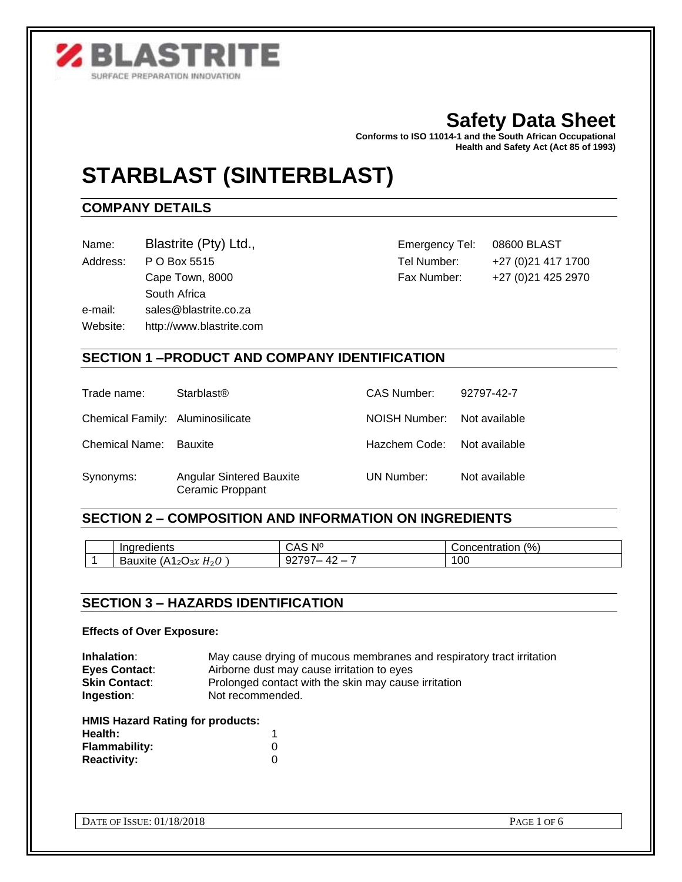

# **Safety Data Sheet**

**Conforms to ISO 11014-1 and the South African Occupational Health and Safety Act (Act 85 of 1993)** 

# **STARBLAST (SINTERBLAST)**

# **COMPANY DETAILS**

Name: Blastrite (Pty) Ltd., Emergency Tel: 08600 BLAST

South Africa

e-mail: sales@blastrite.co.za

Website: http://www.blastrite.com

Address: P O Box 5515 Tel Number: +27 (0)21 417 1700 Cape Town, 8000 Fax Number: +27 (0) 21 425 2970

# **SECTION 1 –PRODUCT AND COMPANY IDENTIFICATION**

| Trade name:                      | <b>Starblast<sup>®</sup></b>                        | CAS Number:                 | 92797-42-7    |
|----------------------------------|-----------------------------------------------------|-----------------------------|---------------|
| Chemical Family: Aluminosilicate |                                                     | NOISH Number: Not available |               |
| <b>Chemical Name: Bauxite</b>    |                                                     | Hazchem Code:               | Not available |
| Synonyms:                        | <b>Angular Sintered Bauxite</b><br>Ceramic Proppant | UN Number:                  | Not available |

# **SECTION 2 – COMPOSITION AND INFORMATION ON INGREDIENTS**

| Indredients                                             | $\mathsf{N}^\mathsf{o}$<br>ـ ت | $\frac{1}{2}$<br>Concentration ' |
|---------------------------------------------------------|--------------------------------|----------------------------------|
| Bauxite<br>(A<br>12 $\cup$ 3 $\chi$<br>H <sub>2</sub> U | ч,                             | $\alpha$<br>ט∪ ֹ                 |

# **SECTION 3 – HAZARDS IDENTIFICATION**

#### **Effects of Over Exposure:**

| Inhalation:                             | May cause drying of mucous membranes and respiratory tract irritation |  |  |
|-----------------------------------------|-----------------------------------------------------------------------|--|--|
| <b>Eyes Contact:</b>                    | Airborne dust may cause irritation to eyes                            |  |  |
| <b>Skin Contact:</b>                    | Prolonged contact with the skin may cause irritation                  |  |  |
| Ingestion:                              | Not recommended.                                                      |  |  |
| <b>HMIS Hazard Rating for products:</b> |                                                                       |  |  |
| Health:                                 |                                                                       |  |  |
| <b>Flammability:</b>                    | 0                                                                     |  |  |
| <b>Reactivity:</b>                      |                                                                       |  |  |

DATE OF ISSUE: 01/18/2018 PAGE 1 OF 6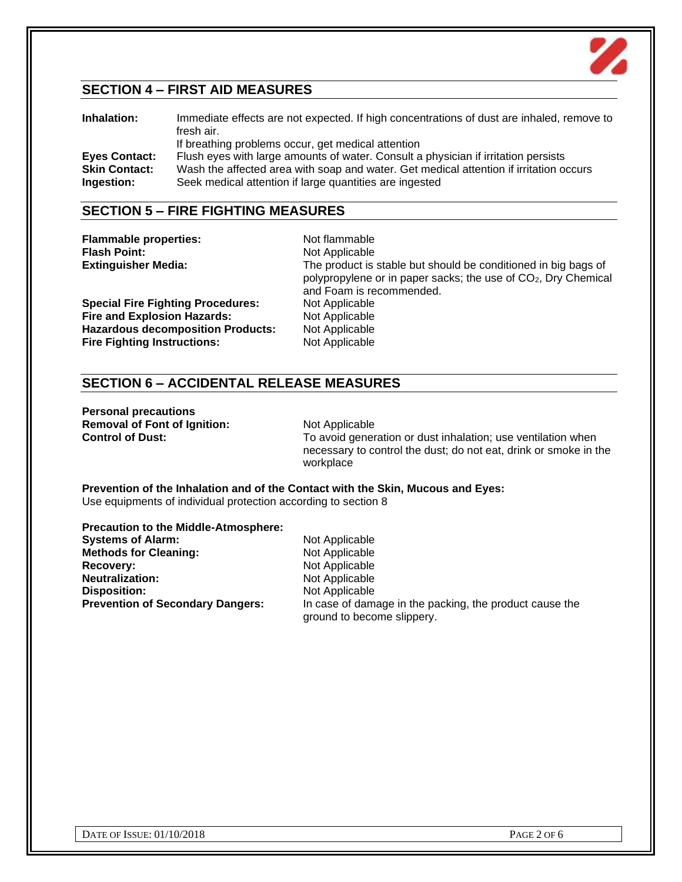

# **SECTION 4 – FIRST AID MEASURES**

| Inhalation:          | Immediate effects are not expected. If high concentrations of dust are inhaled, remove to<br>fresh air. |
|----------------------|---------------------------------------------------------------------------------------------------------|
|                      | If breathing problems occur, get medical attention                                                      |
| <b>Eyes Contact:</b> | Flush eyes with large amounts of water. Consult a physician if irritation persists                      |
| <b>Skin Contact:</b> | Wash the affected area with soap and water. Get medical attention if irritation occurs                  |
| Ingestion:           | Seek medical attention if large quantities are ingested                                                 |

# **SECTION 5 – FIRE FIGHTING MEASURES**

| <b>Flammable properties:</b><br><b>Flash Point:</b><br><b>Extinguisher Media:</b> | Not flammable<br>Not Applicable<br>The product is stable but should be conditioned in big bags of<br>polypropylene or in paper sacks; the use of CO <sub>2</sub> , Dry Chemical |
|-----------------------------------------------------------------------------------|---------------------------------------------------------------------------------------------------------------------------------------------------------------------------------|
| <b>Special Fire Fighting Procedures:</b>                                          | and Foam is recommended.<br>Not Applicable                                                                                                                                      |
| <b>Fire and Explosion Hazards:</b>                                                | Not Applicable                                                                                                                                                                  |
| <b>Hazardous decomposition Products:</b>                                          | Not Applicable                                                                                                                                                                  |
| <b>Fire Fighting Instructions:</b>                                                | Not Applicable                                                                                                                                                                  |

# **SECTION 6 – ACCIDENTAL RELEASE MEASURES**

**Personal precautions Removal of Font of Ignition:** Not Applicable<br> **Control of Dust:** To avoid gener

To avoid generation or dust inhalation; use ventilation when necessary to control the dust; do not eat, drink or smoke in the workplace

**Prevention of the Inhalation and of the Contact with the Skin, Mucous and Eyes:** Use equipments of individual protection according to section 8

| <b>Precaution to the Middle-Atmosphere:</b> |                                                                                       |
|---------------------------------------------|---------------------------------------------------------------------------------------|
| <b>Systems of Alarm:</b>                    | Not Applicable                                                                        |
| <b>Methods for Cleaning:</b>                | Not Applicable                                                                        |
| Recovery:                                   | Not Applicable                                                                        |
| <b>Neutralization:</b>                      | Not Applicable                                                                        |
| <b>Disposition:</b>                         | Not Applicable                                                                        |
| <b>Prevention of Secondary Dangers:</b>     | In case of damage in the packing, the product cause the<br>ground to become slippery. |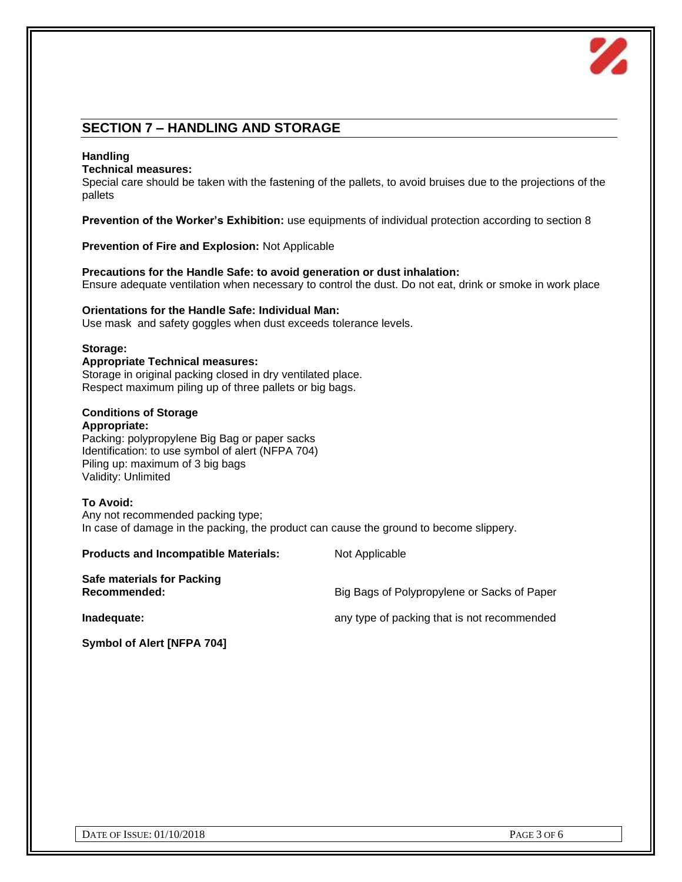

# **SECTION 7 – HANDLING AND STORAGE**

#### **Handling**

#### **Technical measures:**

Special care should be taken with the fastening of the pallets, to avoid bruises due to the projections of the pallets

**Prevention of the Worker's Exhibition:** use equipments of individual protection according to section 8

**Prevention of Fire and Explosion:** Not Applicable

**Precautions for the Handle Safe: to avoid generation or dust inhalation:** Ensure adequate ventilation when necessary to control the dust. Do not eat, drink or smoke in work place

#### **Orientations for the Handle Safe: Individual Man:**

Use mask and safety goggles when dust exceeds tolerance levels.

### **Storage:**

#### **Appropriate Technical measures:** Storage in original packing closed in dry ventilated place. Respect maximum piling up of three pallets or big bags.

### **Conditions of Storage**

#### **Appropriate:**

Packing: polypropylene Big Bag or paper sacks Identification: to use symbol of alert (NFPA 704) Piling up: maximum of 3 big bags Validity: Unlimited

#### **To Avoid:**

Any not recommended packing type; In case of damage in the packing, the product can cause the ground to become slippery.

| <b>Products and Incompatible Materials:</b> | Not Applicable                              |
|---------------------------------------------|---------------------------------------------|
| Safe materials for Packing<br>Recommended:  | Big Bags of Polypropylene or Sacks of Paper |
| Inadequate:                                 | any type of packing that is not recommended |
|                                             |                                             |

**Symbol of Alert [NFPA 704]**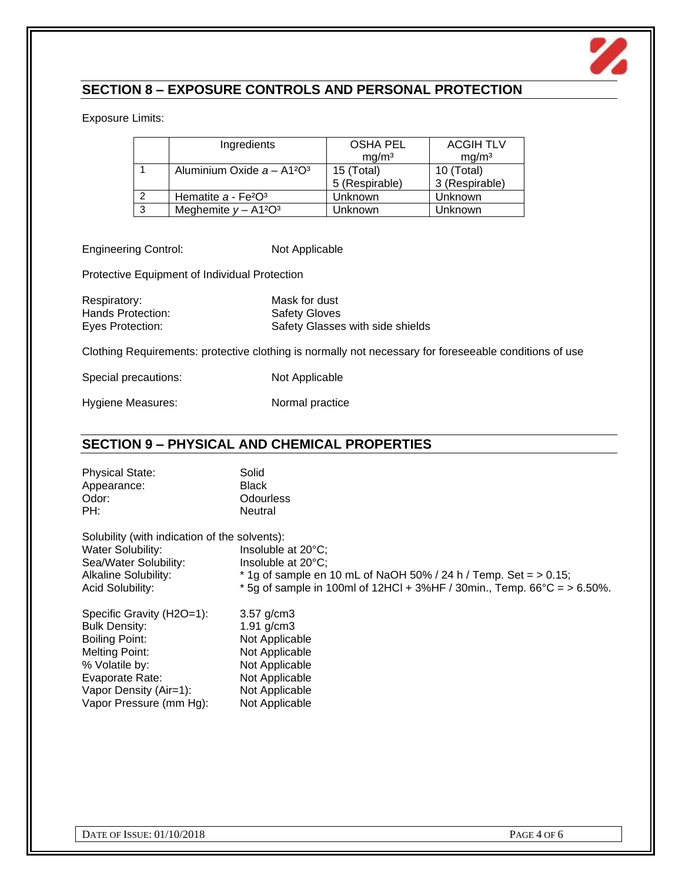

# **SECTION 8 – EXPOSURE CONTROLS AND PERSONAL PROTECTION**

Exposure Limits:

|   | Ingredients                  | <b>OSHA PEL</b>   | <b>ACGIH TLV</b>  |
|---|------------------------------|-------------------|-------------------|
|   |                              | mg/m <sup>3</sup> | mq/m <sup>3</sup> |
|   | Aluminium Oxide $a - A12O^3$ | 15 (Total)        | 10 (Total)        |
|   |                              | 5 (Respirable)    | 3 (Respirable)    |
| 2 | Hematite $a - Fe2O3$         | Unknown           | Unknown           |
| 3 | Meghemite $y - A1^2O^3$      | Unknown           | Unknown           |

Engineering Control: Not Applicable

Protective Equipment of Individual Protection

Respiratory: Mask for dust Hands Protection: Safety Gloves

Eyes Protection: Safety Glasses with side shields

Clothing Requirements: protective clothing is normally not necessary for foreseeable conditions of use

Special precautions: Not Applicable

Hygiene Measures: Normal practice

# **SECTION 9 – PHYSICAL AND CHEMICAL PROPERTIES**

| <b>Physical State:</b> | Solid            |
|------------------------|------------------|
| Appearance:            | <b>Black</b>     |
| Odor:                  | <b>Odourless</b> |
| PH:                    | Neutral          |

| Solubility (with indication of the solvents):<br>Water Solubility:<br>Sea/Water Solubility:<br><b>Alkaline Solubility:</b><br>Acid Solubility: | Insoluble at 20°C;<br>Insoluble at 20°C;<br>$*$ 1g of sample en 10 mL of NaOH 50% / 24 h / Temp. Set = $> 0.15$ ;<br>* 5g of sample in 100ml of 12HCl + 3%HF / 30min., Temp. $66^{\circ}$ C = > 6.50%. |
|------------------------------------------------------------------------------------------------------------------------------------------------|--------------------------------------------------------------------------------------------------------------------------------------------------------------------------------------------------------|
| Specific Gravity (H2O=1):                                                                                                                      | $3.57$ g/cm $3$                                                                                                                                                                                        |
| <b>Bulk Density:</b>                                                                                                                           | $1.91$ g/cm3                                                                                                                                                                                           |
| Boiling Point:                                                                                                                                 | Not Applicable                                                                                                                                                                                         |
| Melting Point:                                                                                                                                 | Not Applicable                                                                                                                                                                                         |

% Volatile by: Not Applicable Evaporate Rate: Not Applicable Vapor Density (Air=1): Not Applicable

Vapor Pressure (mm Hg): Not Applicable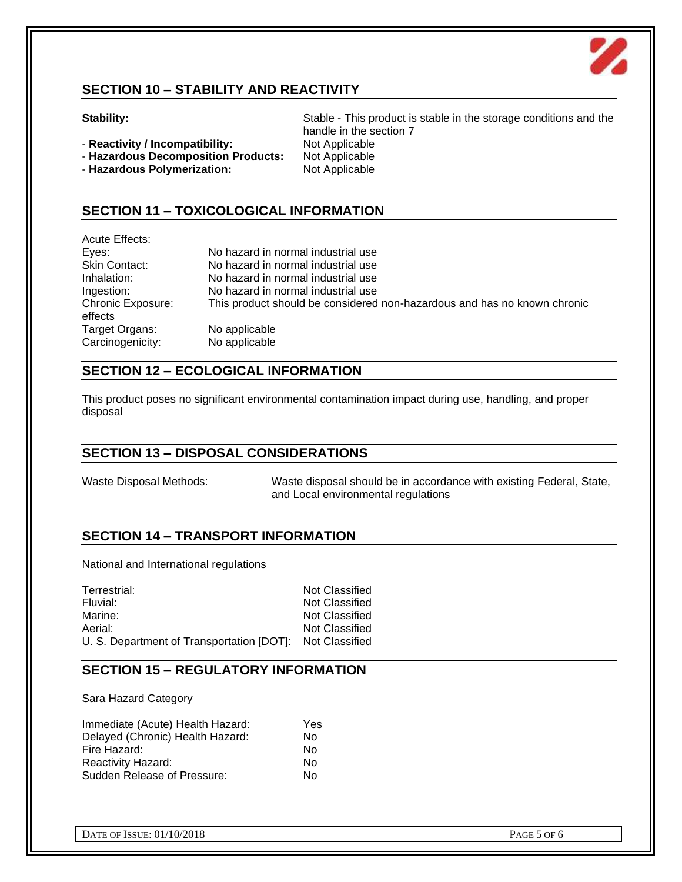

# **SECTION 10 – STABILITY AND REACTIVITY**

- **Reactivity / Incompatibility:** Not Applicable
- **Hazardous Decomposition Products:** Not Applicable
- **Hazardous Polymerization:** Not Applicable

# **SECTION 11 – TOXICOLOGICAL INFORMATION**

| Acute Effects:           |                                                                          |
|--------------------------|--------------------------------------------------------------------------|
| Eyes:                    | No hazard in normal industrial use                                       |
| Skin Contact:            | No hazard in normal industrial use                                       |
| Inhalation:              | No hazard in normal industrial use                                       |
| Ingestion:               | No hazard in normal industrial use                                       |
| <b>Chronic Exposure:</b> | This product should be considered non-hazardous and has no known chronic |
| effects                  |                                                                          |
| Target Organs:           | No applicable                                                            |
| Carcinogenicity:         | No applicable                                                            |

# **SECTION 12 – ECOLOGICAL INFORMATION**

This product poses no significant environmental contamination impact during use, handling, and proper disposal

## **SECTION 13 – DISPOSAL CONSIDERATIONS**

Waste Disposal Methods: Waste disposal should be in accordance with existing Federal, State, and Local environmental regulations

# **SECTION 14 – TRANSPORT INFORMATION**

National and International regulations

| Terrestrial:                                             | Not Classified |
|----------------------------------------------------------|----------------|
| Fluvial:                                                 | Not Classified |
| Marine:                                                  | Not Classified |
| Aerial:                                                  | Not Classified |
| U. S. Department of Transportation [DOT]: Not Classified |                |

# **SECTION 15 – REGULATORY INFORMATION**

Sara Hazard Category

| Immediate (Acute) Health Hazard: | Yes |
|----------------------------------|-----|
| Delayed (Chronic) Health Hazard: | N٥  |
| Fire Hazard:                     | No  |
| <b>Reactivity Hazard:</b>        | No  |
| Sudden Release of Pressure:      | N٥  |

**Stability: Stable - This product is stable in the storage conditions and the** handle in the section 7